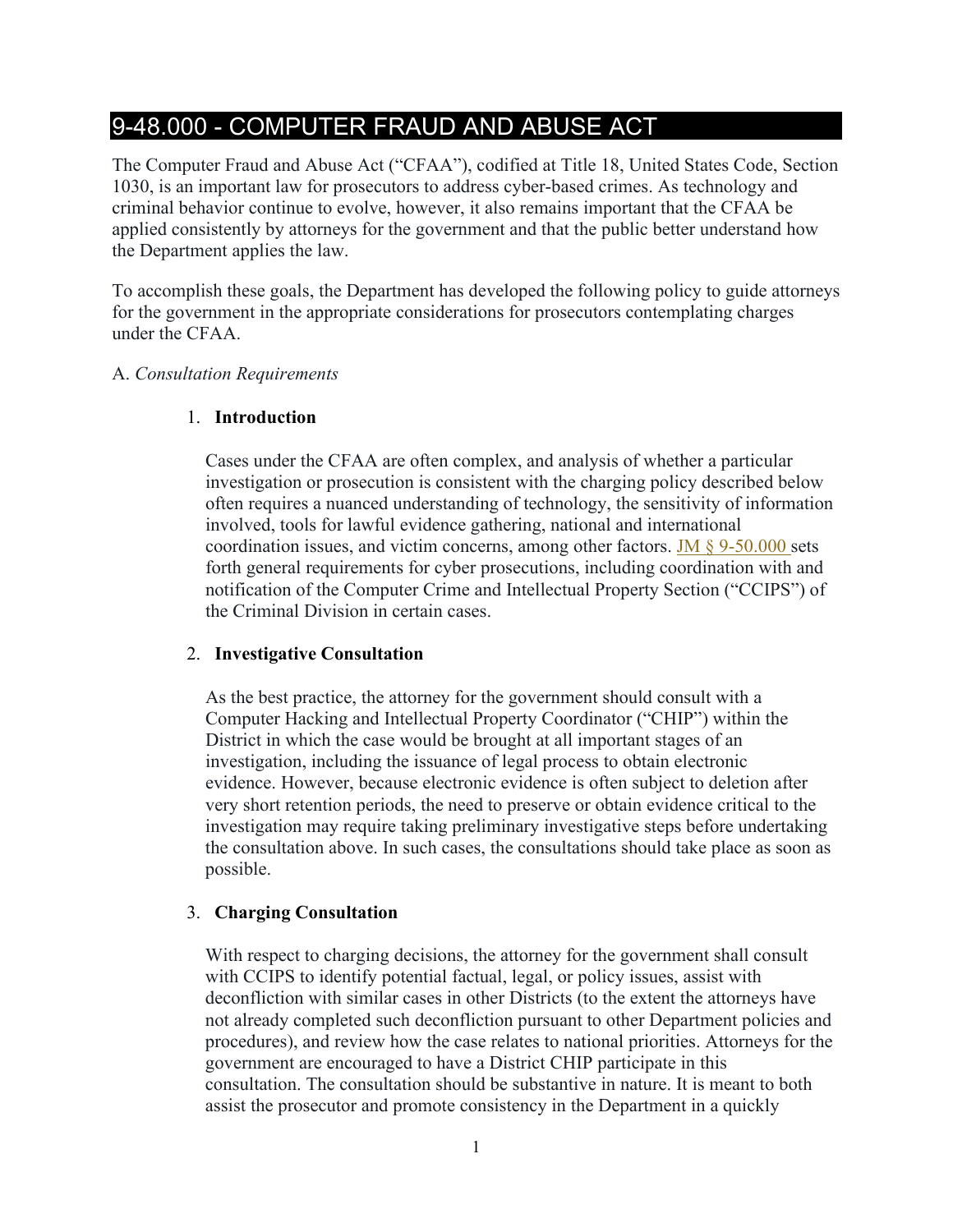# 9-48.000 - COMPUTER FRAUD AND ABUSE ACT

The Computer Fraud and Abuse Act ("CFAA"), codified at Title 18, United States Code, Section 1030, is an important law for prosecutors to address cyber-based crimes. As technology and criminal behavior continue to evolve, however, it also remains important that the CFAA be applied consistently by attorneys for the government and that the public better understand how the Department applies the law.

To accomplish these goals, the Department has developed the following policy to guide attorneys for the government in the appropriate considerations for prosecutors contemplating charges under the CFAA.

### A. *Consultation Requirements*

### 1. **Introduction**

Cases under the CFAA are often complex, and analysis of whether a particular investigation or prosecution is consistent with the charging policy described below often requires a nuanced understanding of technology, the sensitivity of information involved, tools for lawful evidence gathering, national and international coordination issues, and victim concerns, among other factors. JM  $\S$  9-50.000 sets forth general requirements for cyber prosecutions, including coordination with and notification of the Computer Crime and Intellectual Property Section ("CCIPS") of the Criminal Division in certain cases.

# 2. **Investigative Consultation**

As the best practice, the attorney for the government should consult with a Computer Hacking and Intellectual Property Coordinator ("CHIP") within the District in which the case would be brought at all important stages of an investigation, including the issuance of legal process to obtain electronic evidence. However, because electronic evidence is often subject to deletion after very short retention periods, the need to preserve or obtain evidence critical to the investigation may require taking preliminary investigative steps before undertaking the consultation above. In such cases, the consultations should take place as soon as possible.

# 3. **Charging Consultation**

With respect to charging decisions, the attorney for the government shall consult with CCIPS to identify potential factual, legal, or policy issues, assist with deconfliction with similar cases in other Districts (to the extent the attorneys have not already completed such deconfliction pursuant to other Department policies and procedures), and review how the case relates to national priorities. Attorneys for the government are encouraged to have a District CHIP participate in this consultation. The consultation should be substantive in nature. It is meant to both assist the prosecutor and promote consistency in the Department in a quickly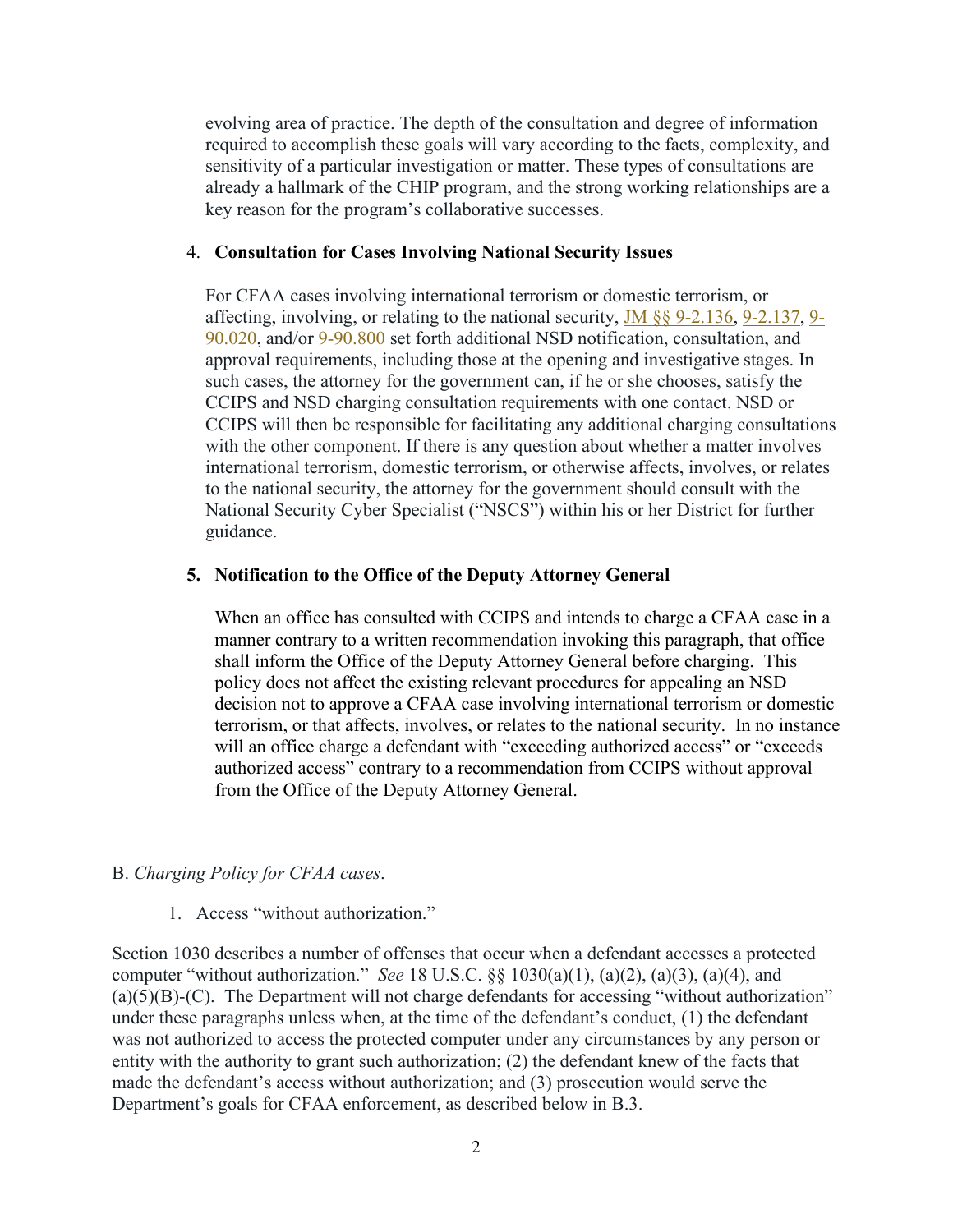evolving area of practice. The depth of the consultation and degree of information required to accomplish these goals will vary according to the facts, complexity, and sensitivity of a particular investigation or matter. These types of consultations are already a hallmark of the CHIP program, and the strong working relationships are a key reason for the program's collaborative successes.

#### 4. **Consultation for Cases Involving National Security Issues**

For CFAA cases involving international terrorism or domestic terrorism, or affecting, involving, or relating to the national security, [JM §§ 9-2.136,](https://www.justice.gov/jm/jm-9-2000-authority-us-attorney-criminal-division-mattersprior-approvals#9-2.136) [9-2.137,](https://www.justice.gov/jm/jm-9-2000-authority-us-attorney-criminal-division-mattersprior-approvals#9-2.137) [9-](https://www.justice.gov/jm/jm-9-90000-national-security#9-90.020) [90.020,](https://www.justice.gov/jm/jm-9-90000-national-security#9-90.020) and/or [9-90.800](https://www.justice.gov/jm/jm-9-90000-national-security#9-90.800) set forth additional NSD notification, consultation, and approval requirements, including those at the opening and investigative stages. In such cases, the attorney for the government can, if he or she chooses, satisfy the CCIPS and NSD charging consultation requirements with one contact. NSD or CCIPS will then be responsible for facilitating any additional charging consultations with the other component. If there is any question about whether a matter involves international terrorism, domestic terrorism, or otherwise affects, involves, or relates to the national security, the attorney for the government should consult with the National Security Cyber Specialist ("NSCS") within his or her District for further guidance.

#### **5. Notification to the Office of the Deputy Attorney General**

When an office has consulted with CCIPS and intends to charge a CFAA case in a manner contrary to a written recommendation invoking this paragraph, that office shall inform the Office of the Deputy Attorney General before charging. This policy does not affect the existing relevant procedures for appealing an NSD decision not to approve a CFAA case involving international terrorism or domestic terrorism, or that affects, involves, or relates to the national security. In no instance will an office charge a defendant with "exceeding authorized access" or "exceeds authorized access" contrary to a recommendation from CCIPS without approval from the Office of the Deputy Attorney General.

### B. *Charging Policy for CFAA cases*.

1. Access "without authorization."

Section 1030 describes a number of offenses that occur when a defendant accesses a protected computer "without authorization." *See* 18 U.S.C. §§ 1030(a)(1), (a)(2), (a)(3), (a)(4), and  $(a)(5)(B)-(C)$ . The Department will not charge defendants for accessing "without authorization" under these paragraphs unless when, at the time of the defendant's conduct, (1) the defendant was not authorized to access the protected computer under any circumstances by any person or entity with the authority to grant such authorization; (2) the defendant knew of the facts that made the defendant's access without authorization; and (3) prosecution would serve the Department's goals for CFAA enforcement, as described below in B.3.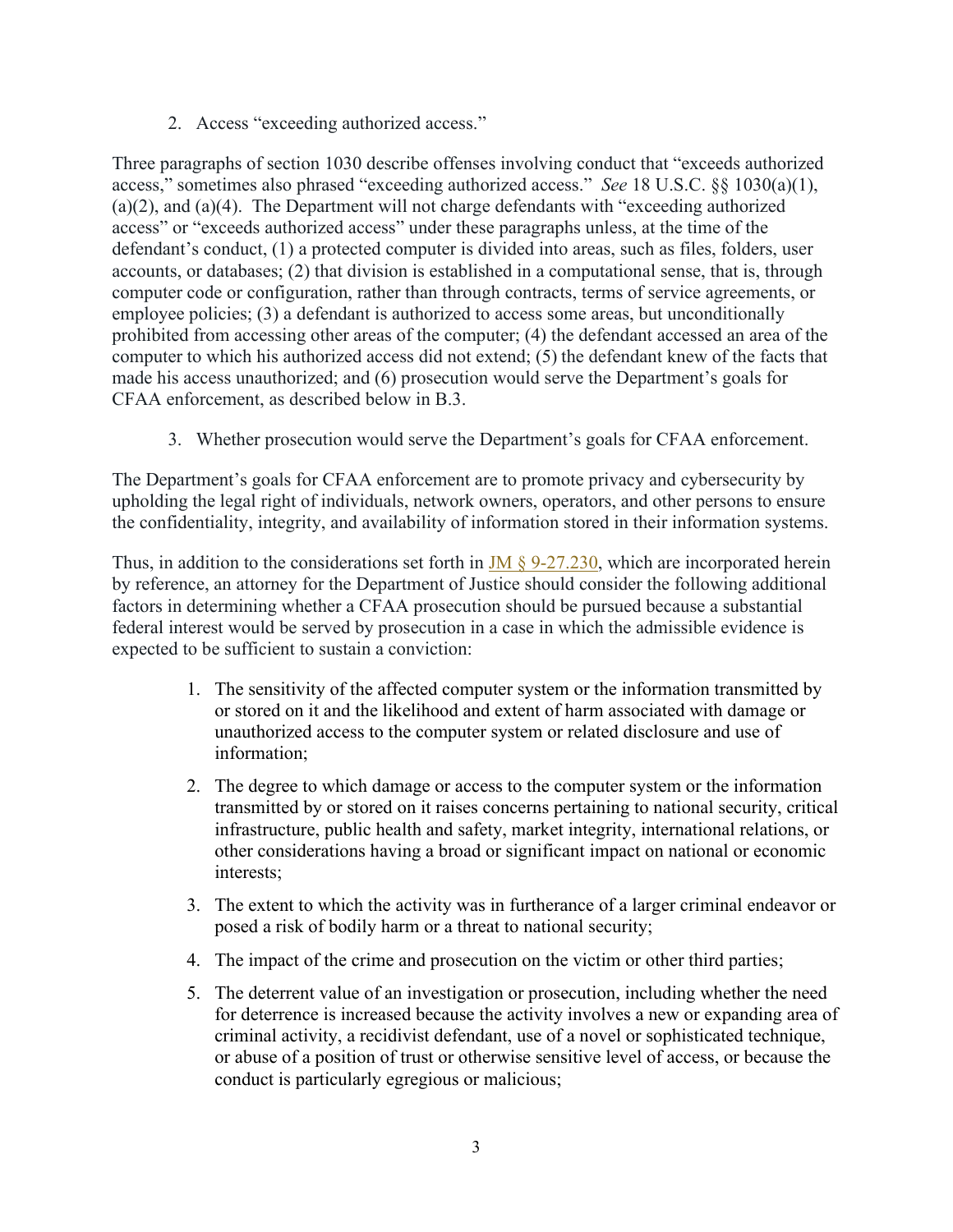2. Access "exceeding authorized access."

Three paragraphs of section 1030 describe offenses involving conduct that "exceeds authorized access," sometimes also phrased "exceeding authorized access." *See* 18 U.S.C. §§ 1030(a)(1), (a)(2), and (a)(4). The Department will not charge defendants with "exceeding authorized access" or "exceeds authorized access" under these paragraphs unless, at the time of the defendant's conduct, (1) a protected computer is divided into areas, such as files, folders, user accounts, or databases; (2) that division is established in a computational sense, that is, through computer code or configuration, rather than through contracts, terms of service agreements, or employee policies; (3) a defendant is authorized to access some areas, but unconditionally prohibited from accessing other areas of the computer; (4) the defendant accessed an area of the computer to which his authorized access did not extend; (5) the defendant knew of the facts that made his access unauthorized; and (6) prosecution would serve the Department's goals for CFAA enforcement, as described below in B.3.

3. Whether prosecution would serve the Department's goals for CFAA enforcement.

The Department's goals for CFAA enforcement are to promote privacy and cybersecurity by upholding the legal right of individuals, network owners, operators, and other persons to ensure the confidentiality, integrity, and availability of information stored in their information systems.

Thus, in addition to the considerations set forth in  $JM \S 9-27.230$ , which are incorporated herein by reference, an attorney for the Department of Justice should consider the following additional factors in determining whether a CFAA prosecution should be pursued because a substantial federal interest would be served by prosecution in a case in which the admissible evidence is expected to be sufficient to sustain a conviction:

- 1. The sensitivity of the affected computer system or the information transmitted by or stored on it and the likelihood and extent of harm associated with damage or unauthorized access to the computer system or related disclosure and use of information;
- 2. The degree to which damage or access to the computer system or the information transmitted by or stored on it raises concerns pertaining to national security, critical infrastructure, public health and safety, market integrity, international relations, or other considerations having a broad or significant impact on national or economic interests;
- 3. The extent to which the activity was in furtherance of a larger criminal endeavor or posed a risk of bodily harm or a threat to national security;
- 4. The impact of the crime and prosecution on the victim or other third parties;
- 5. The deterrent value of an investigation or prosecution, including whether the need for deterrence is increased because the activity involves a new or expanding area of criminal activity, a recidivist defendant, use of a novel or sophisticated technique, or abuse of a position of trust or otherwise sensitive level of access, or because the conduct is particularly egregious or malicious;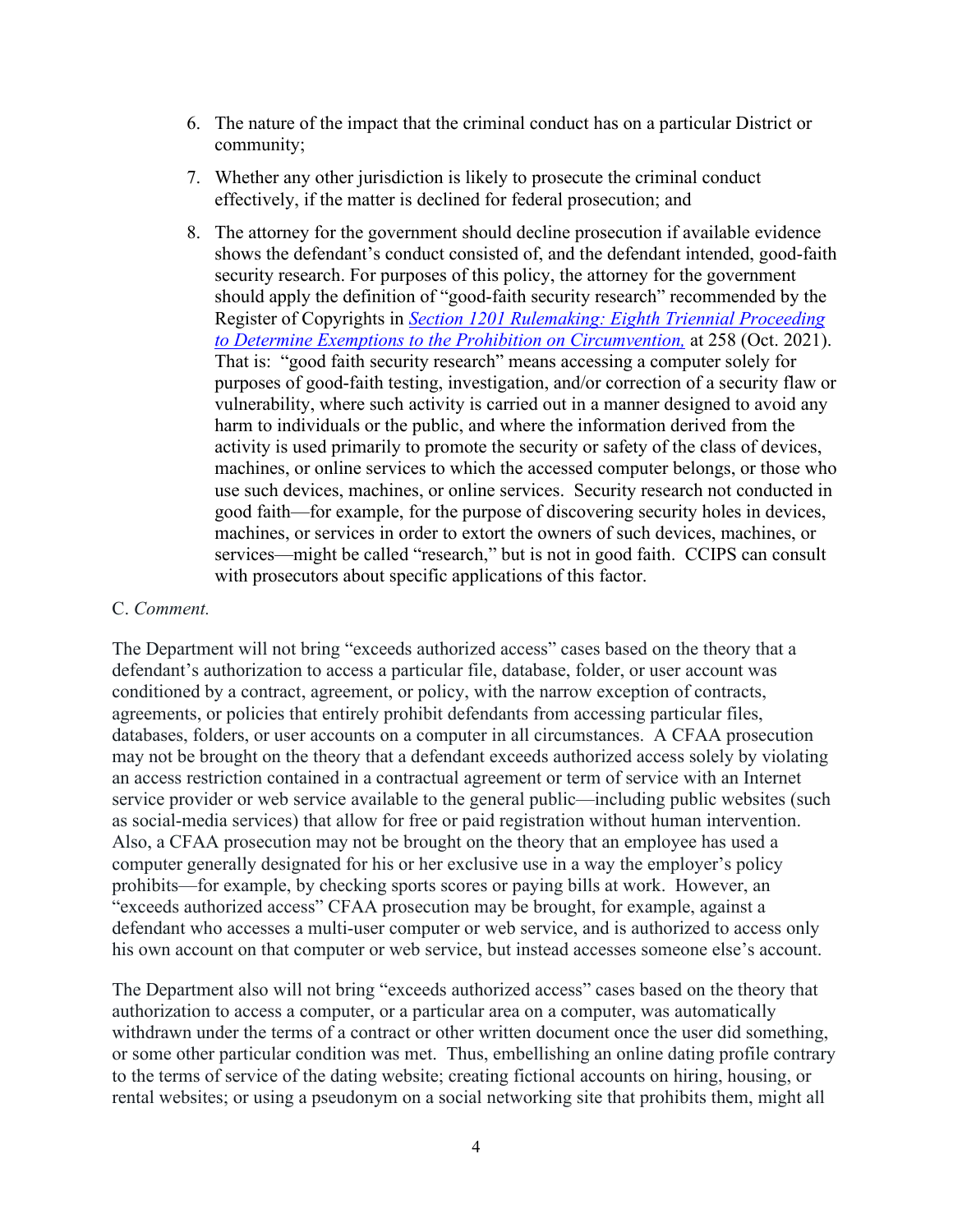- 6. The nature of the impact that the criminal conduct has on a particular District or community;
- 7. Whether any other jurisdiction is likely to prosecute the criminal conduct effectively, if the matter is declined for federal prosecution; and
- 8. The attorney for the government should decline prosecution if available evidence shows the defendant's conduct consisted of, and the defendant intended, good-faith security research. For purposes of this policy, the attorney for the government should apply the definition of "good-faith security research" recommended by the Register of Copyrights in *[Section 1201 Rulemaking: Eighth Triennial Proceeding](https://cdn.loc.gov/copyright/1201/2021/2021_Section_1201_Registers_Recommendation.pdf)  [to Determine Exemptions to the Prohibition on Circumvention,](https://cdn.loc.gov/copyright/1201/2021/2021_Section_1201_Registers_Recommendation.pdf)* at 258 (Oct. 2021). That is: "good faith security research" means accessing a computer solely for purposes of good-faith testing, investigation, and/or correction of a security flaw or vulnerability, where such activity is carried out in a manner designed to avoid any harm to individuals or the public, and where the information derived from the activity is used primarily to promote the security or safety of the class of devices, machines, or online services to which the accessed computer belongs, or those who use such devices, machines, or online services. Security research not conducted in good faith—for example, for the purpose of discovering security holes in devices, machines, or services in order to extort the owners of such devices, machines, or services—might be called "research," but is not in good faith. CCIPS can consult with prosecutors about specific applications of this factor.

#### C. *Comment.*

The Department will not bring "exceeds authorized access" cases based on the theory that a defendant's authorization to access a particular file, database, folder, or user account was conditioned by a contract, agreement, or policy, with the narrow exception of contracts, agreements, or policies that entirely prohibit defendants from accessing particular files, databases, folders, or user accounts on a computer in all circumstances. A CFAA prosecution may not be brought on the theory that a defendant exceeds authorized access solely by violating an access restriction contained in a contractual agreement or term of service with an Internet service provider or web service available to the general public—including public websites (such as social-media services) that allow for free or paid registration without human intervention. Also, a CFAA prosecution may not be brought on the theory that an employee has used a computer generally designated for his or her exclusive use in a way the employer's policy prohibits—for example, by checking sports scores or paying bills at work. However, an "exceeds authorized access" CFAA prosecution may be brought, for example, against a defendant who accesses a multi-user computer or web service, and is authorized to access only his own account on that computer or web service, but instead accesses someone else's account.

The Department also will not bring "exceeds authorized access" cases based on the theory that authorization to access a computer, or a particular area on a computer, was automatically withdrawn under the terms of a contract or other written document once the user did something, or some other particular condition was met. Thus, embellishing an online dating profile contrary to the terms of service of the dating website; creating fictional accounts on hiring, housing, or rental websites; or using a pseudonym on a social networking site that prohibits them, might all